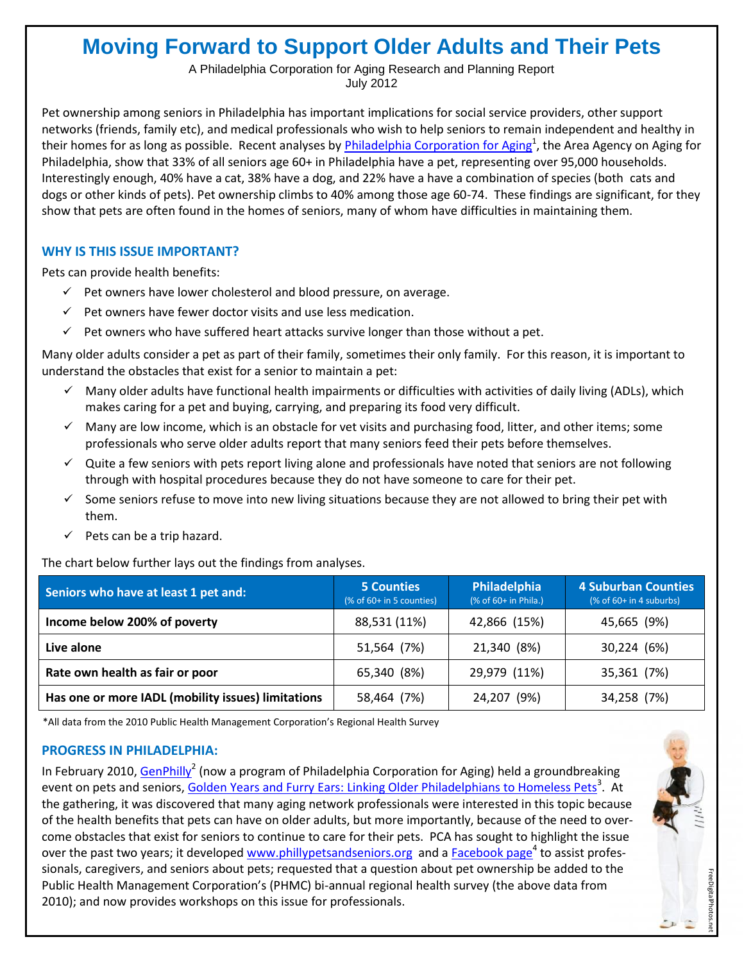# **Moving Forward to Support Older Adults and Their Pets**

A Philadelphia Corporation for Aging Research and Planning Report July 2012

Pet ownership among seniors in Philadelphia has important implications for social service providers, other support networks (friends, family etc), and medical professionals who wish to help seniors to remain independent and healthy in their homes for as long as possible. Recent analyses by *[Philadelphia Corporation for Aging](http://www.pcacares.org/)<sup>1</sup>,* the Area Agency on Aging for Philadelphia, show that 33% of all seniors age 60+ in Philadelphia have a pet, representing over 95,000 households. Interestingly enough, 40% have a cat, 38% have a dog, and 22% have a have a combination of species (both cats and dogs or other kinds of pets). Pet ownership climbs to 40% among those age 60-74. These findings are significant, for they show that pets are often found in the homes of seniors, many of whom have difficulties in maintaining them.

## **WHY IS THIS ISSUE IMPORTANT?**

Pets can provide health benefits:

- $\checkmark$  Pet owners have lower cholesterol and blood pressure, on average.
- $\checkmark$  Pet owners have fewer doctor visits and use less medication.
- $\checkmark$  Pet owners who have suffered heart attacks survive longer than those without a pet.

Many older adults consider a pet as part of their family, sometimes their only family. For this reason, it is important to understand the obstacles that exist for a senior to maintain a pet:

- $\checkmark$  Many older adults have functional health impairments or difficulties with activities of daily living (ADLs), which makes caring for a pet and buying, carrying, and preparing its food very difficult.
- $\checkmark$  Many are low income, which is an obstacle for vet visits and purchasing food, litter, and other items; some professionals who serve older adults report that many seniors feed their pets before themselves.
- $\checkmark$  Quite a few seniors with pets report living alone and professionals have noted that seniors are not following through with hospital procedures because they do not have someone to care for their pet.
- $\checkmark$  Some seniors refuse to move into new living situations because they are not allowed to bring their pet with them.
- $\checkmark$  Pets can be a trip hazard.

The chart below further lays out the findings from analyses.

| Seniors who have at least 1 pet and:               | <b>5 Counties</b><br>(% of 60+ in 5 counties) | Philadelphia<br>(% of 60+ in Phila.) | <b>4 Suburban Counties</b><br>$%$ of 60+ in 4 suburbs) |
|----------------------------------------------------|-----------------------------------------------|--------------------------------------|--------------------------------------------------------|
| Income below 200% of poverty                       | 88,531 (11%)                                  | 42,866 (15%)                         | 45,665 (9%)                                            |
| Live alone                                         | 51,564 (7%)                                   | 21,340 (8%)                          | 30,224 (6%)                                            |
| Rate own health as fair or poor                    | 65,340 (8%)                                   | 29,979 (11%)                         | 35,361 (7%)                                            |
| Has one or more IADL (mobility issues) limitations | 58,464 (7%)                                   | 24,207 (9%)                          | 34,258 (7%)                                            |

\*All data from the 2010 Public Health Management Corporation's Regional Health Survey

## **PROGRESS IN PHILADELPHIA:**

In February 2010, [GenPhilly](http://www.genphilly.org)<sup>2</sup> (now a program of Philadelphia Corporation for Aging) held a groundbreaking event on pets and seniors, [Golden Years and Furry Ears: Linking Older Philadelphians to Homeless Pets](http://genphilly.wordpress.com/events/past-events/feb-2010-event/)<sup>3</sup>. At the gathering, it was discovered that many aging network professionals were interested in this topic because of the health benefits that pets can have on older adults, but more importantly, because of the need to overcome obstacles that exist for seniors to continue to care for their pets. PCA has sought to highlight the issue over the past two years; it developed [www.phillypetsandseniors.org](http://www.phillypetsandseniors.org) and a [Facebook page](https://www.facebook.com/PhillyPetsandSeniors?ref=stream)<sup>4</sup> to assist professionals, caregivers, and seniors about pets; requested that a question about pet ownership be added to the Public Health Management Corporation's (PHMC) bi-annual regional health survey (the above data from 2010); and now provides workshops on this issue for professionals.